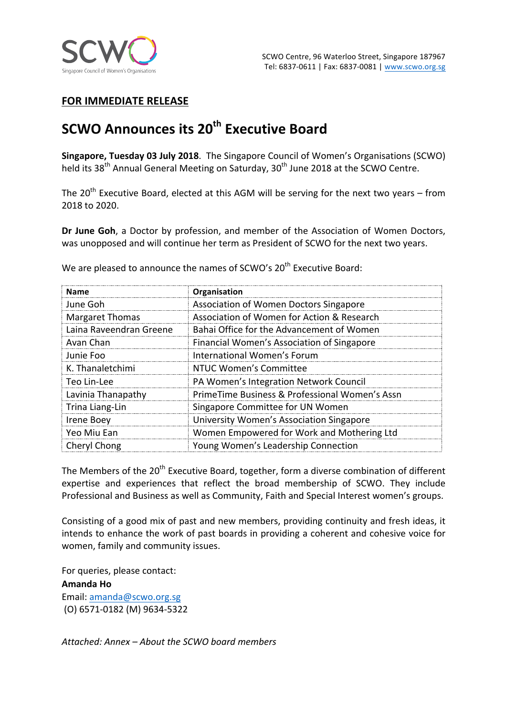

# **FOR IMMEDIATE RELEASE**

# **SCWO Announces its 20<sup>th</sup> Executive Board**

**Singapore, Tuesday 03 July 2018**. The Singapore Council of Women's Organisations (SCWO) held its 38<sup>th</sup> Annual General Meeting on Saturday, 30<sup>th</sup> June 2018 at the SCWO Centre.

The  $20^{th}$  Executive Board, elected at this AGM will be serving for the next two years – from 2018 to 2020.

**Dr June Goh**, a Doctor by profession, and member of the Association of Women Doctors, was unopposed and will continue her term as President of SCWO for the next two vears.

**Name Organisation** June Goh Association of Women Doctors Singapore Margaret Thomas **Association** of Women for Action & Research Laina Raveendran Greene | Bahai Office for the Advancement of Women Avan Chan Financial Women's Association of Singapore Junie Foo **International Women's Forum** K. Thanaletchimi NTUC Women's Committee Teo Lin-Lee **PA** Women's Integration Network Council Lavinia Thanapathy **PrimeTime Business & Professional Women's Assn** Trina Liang-Lin Singapore Committee for UN Women Irene Boey **Interpreterate Communisties** University Women's Association Singapore Yeo Miu Ean Women Empowered for Work and Mothering Ltd Cheryl Chong **Changes II Strutter Connection** 

We are pleased to announce the names of SCWO's 20<sup>th</sup> Executive Board:

The Members of the 20<sup>th</sup> Executive Board, together, form a diverse combination of different expertise and experiences that reflect the broad membership of SCWO. They include Professional and Business as well as Community, Faith and Special Interest women's groups.

Consisting of a good mix of past and new members, providing continuity and fresh ideas, it intends to enhance the work of past boards in providing a coherent and cohesive voice for women, family and community issues.

For queries, please contact:

**Amanda Ho**

Email: amanda@scwo.org.sg (O) 6571-0182 (M) 9634-5322

*Attached: Annex – About the SCWO board members*